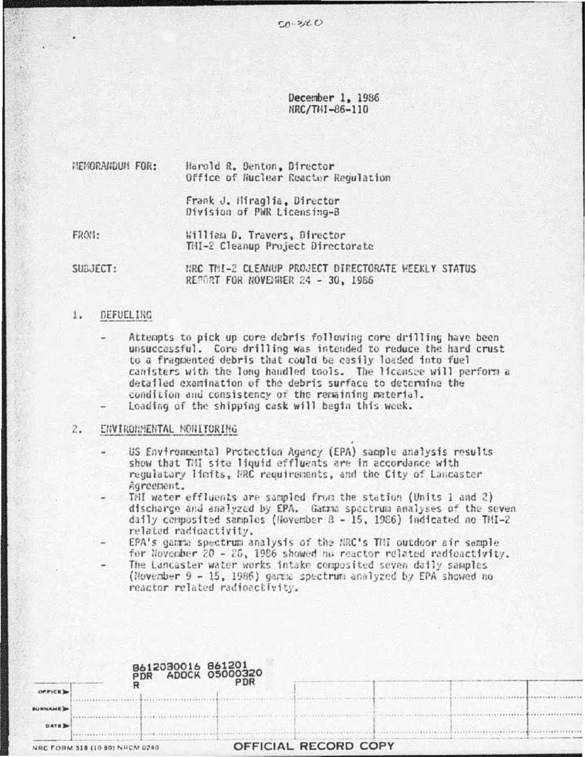December 1, 1986 NRC/THI-86-110

MEMORANDUM FOR: Harold R. Denton, Director Office of Nuclear Reactor Regulation

> Frank J. Hiraglia, Director Division of PWR Licensing-B

FROM: William D. Travers, Director THI-2 Cleanup Project Directorate

SUBJECT: NRC THI-2 CLEANUP PROJECT DIRECTORATE WEEKLY STATUS REPORT FOR NOVEMBER 24 - 30, 1986

#### $1.$ **DEFUELING**

- Attempts to pick up core debris following core drilling have been unsuccessful. Core drilling was intended to reduce the hard crust to a fragmented debris that could be easily loaded into fuel canisters with the long handled tools. The licensee will perform a detailed examination of the debris surface to determine the condition and consistency of the remaining material.
- Loading of the shipping cask will begin this week.

## ENVIRONMENTAL MONITORING  $2.$

- US Environmental Protection Agency (EPA) sample analysis results show that TMI site liquid effluents are in accordance with regulatory limits, MRC requirements, and the City of Lancaster Agreement.
- THI water effluents are sampled from the station (Units 1 and 2) discharge and analyzed by EPA. Gamma spectrum analyses of the seven daily composited samples (Hovember  $B - 15$ , 1986) indicated no THI-2 related radioactivity.
- EPA's gamma spectrum analysis of the NRC's TMI outdoor air sample for November 20 - 25, 1986 showed no reactor related radioactivity. The Lancaster water works intake composited seven daily samples (November 9 - 15, 1986) gamma spectrum analyzed by EPA showed no reactor related radioactivity.

|                                | 8612030016 861201<br>PDR ADOCK 05000320 |                      |  |
|--------------------------------|-----------------------------------------|----------------------|--|
| OFFICE)                        | <b>PDR</b>                              |                      |  |
| <b>BURNAME</b>                 |                                         |                      |  |
| <b>DATE</b>                    |                                         |                      |  |
| NRC FORM 318 (10-80) NRCM 0240 |                                         | OFFICIAL RECORD COPY |  |

 $...$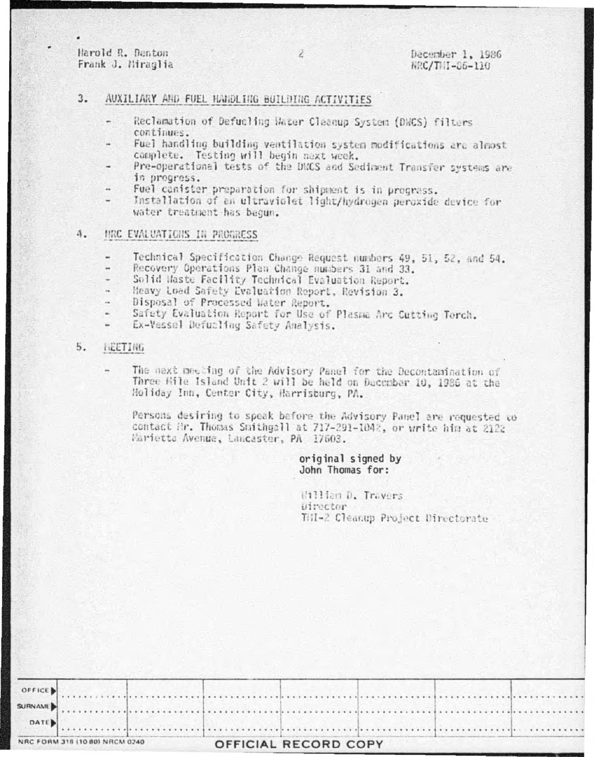Harold R. Danton Frank J. Miraglia

## $3.$ AUXILIARY AND FUEL HANDLING BUILDING ACTIVITIES

- Reclamation of Defucling Hater Cleanup System (DWCS) filters continues.
- Fuel handling building ventilation system modifications are almost complete. Testing will begin next week.
- Pre-operational tests of the DNCS and Sediment Transfer systems are in progress.
- Fuel canister preparation for shipment is in prograss.
- Installation of an ultraviolet light/hydrogen peroxide device for water treatment has begun.

#### 4. HRC EVALUATIONS IN PROGRESS

- Technical Specification Change Request numbers 49, 51, 52, and 54.
- Recovery Operations Plan Change numbers 31 and 33. ..
- Solid Haste Facility Technical Evaluation Report. ٠
- Heavy Load Safety Evaluation Report, Revision 3. u
- Disposal of Processed Water Report. a,
- Safety Evaluation Report for Use of Plasma Arc Cutting Terch.
- Ex-Vessel Defucling Safety Analysis.

### $5.$ HEETING

The next meeting of the Advisory Panel for the Decontamination of Three Hile Island Unit 2 will be held on Dacembar 10, 1986 at the Holiday Inn, Center City, Harrisburg, PA.

Persons desiring to speak before the Advisory Panel are requested to contact Mr. Thomas Smithgall at 717-291-1042, or write him at 2122 Marietta Avenua, Lancaster, PA 17603.

# original signed by John Thomas for:

William D. Travers *<u><del>Director</del></u>* THI-2 Cleanup Project Directorate

|                                |  |                      | $\bullet$ DATE) |  |
|--------------------------------|--|----------------------|-----------------|--|
| NRC FORM 318 (10 80) NRCM 0240 |  | OFFICIAL RECORD COPY |                 |  |

2